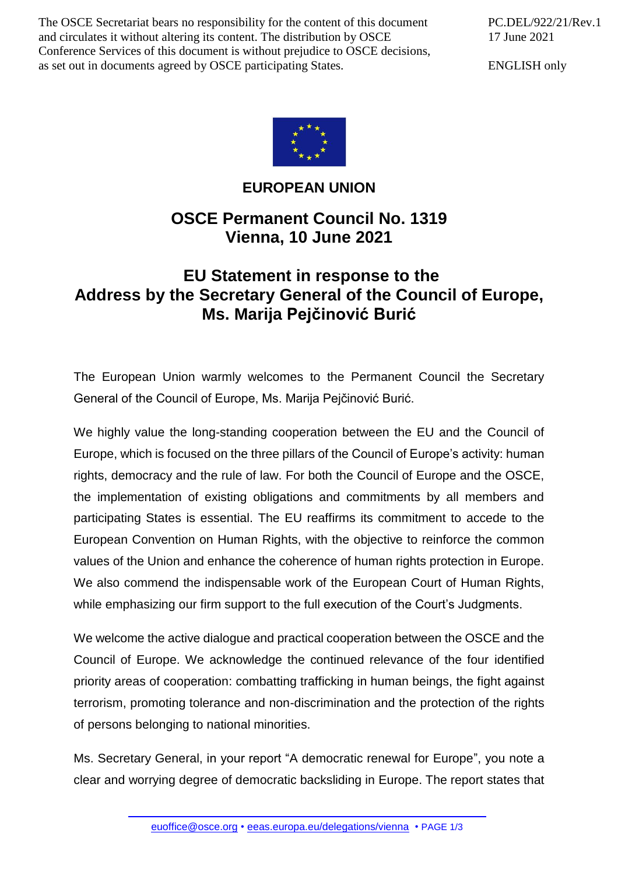The OSCE Secretariat bears no responsibility for the content of this document and circulates it without altering its content. The distribution by OSCE Conference Services of this document is without prejudice to OSCE decisions, as set out in documents agreed by OSCE participating States.

PC.DEL/922/21/Rev.1 17 June 2021

ENGLISH only



## **EUROPEAN UNION**

## **OSCE Permanent Council No. 1319 Vienna, 10 June 2021**

## **EU Statement in response to the Address by the Secretary General of the Council of Europe, Ms. Marija Pejčinović Burić**

The European Union warmly welcomes to the Permanent Council the Secretary General of the Council of Europe, Ms. Marija Pejčinović Burić.

We highly value the long-standing cooperation between the EU and the Council of Europe, which is focused on the three pillars of the Council of Europe's activity: human rights, democracy and the rule of law. For both the Council of Europe and the OSCE, the implementation of existing obligations and commitments by all members and participating States is essential. The EU reaffirms its commitment to accede to the European Convention on Human Rights, with the objective to reinforce the common values of the Union and enhance the coherence of human rights protection in Europe. We also commend the indispensable work of the European Court of Human Rights, while emphasizing our firm support to the full execution of the Court's Judgments.

We welcome the active dialogue and practical cooperation between the OSCE and the Council of Europe. We acknowledge the continued relevance of the four identified priority areas of cooperation: combatting trafficking in human beings, the fight against terrorism, promoting tolerance and non-discrimination and the protection of the rights of persons belonging to national minorities.

Ms. Secretary General, in your report "A democratic renewal for Europe", you note a clear and worrying degree of democratic backsliding in Europe. The report states that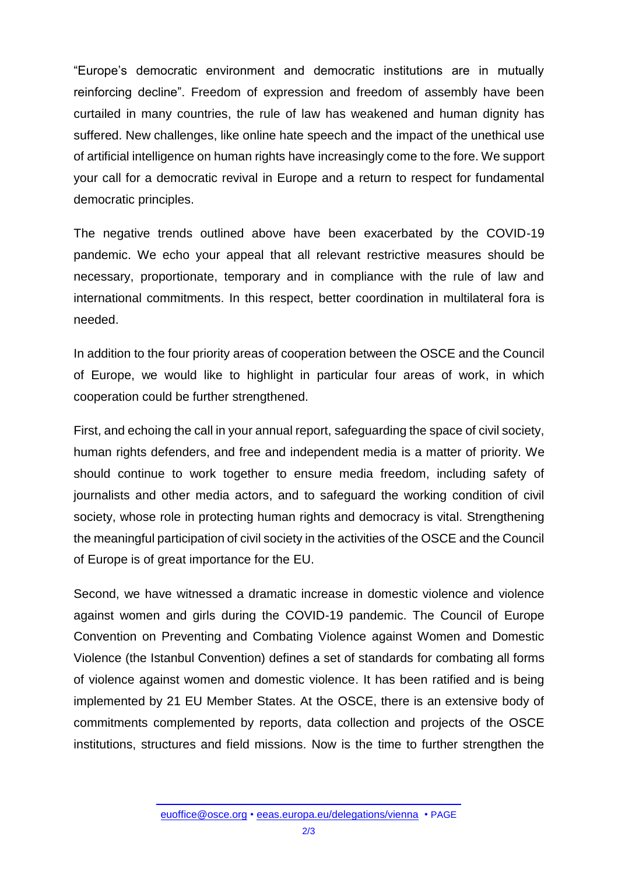"Europe's democratic environment and democratic institutions are in mutually reinforcing decline". Freedom of expression and freedom of assembly have been curtailed in many countries, the rule of law has weakened and human dignity has suffered. New challenges, like online hate speech and the impact of the unethical use of artificial intelligence on human rights have increasingly come to the fore. We support your call for a democratic revival in Europe and a return to respect for fundamental democratic principles.

The negative trends outlined above have been exacerbated by the COVID-19 pandemic. We echo your appeal that all relevant restrictive measures should be necessary, proportionate, temporary and in compliance with the rule of law and international commitments. In this respect, better coordination in multilateral fora is needed.

In addition to the four priority areas of cooperation between the OSCE and the Council of Europe, we would like to highlight in particular four areas of work, in which cooperation could be further strengthened.

First, and echoing the call in your annual report, safeguarding the space of civil society, human rights defenders, and free and independent media is a matter of priority. We should continue to work together to ensure media freedom, including safety of journalists and other media actors, and to safeguard the working condition of civil society, whose role in protecting human rights and democracy is vital. Strengthening the meaningful participation of civil society in the activities of the OSCE and the Council of Europe is of great importance for the EU.

Second, we have witnessed a dramatic increase in domestic violence and violence against women and girls during the COVID-19 pandemic. The Council of Europe Convention on Preventing and Combating Violence against Women and Domestic Violence (the Istanbul Convention) defines a set of standards for combating all forms of violence against women and domestic violence. It has been ratified and is being implemented by 21 EU Member States. At the OSCE, there is an extensive body of commitments complemented by reports, data collection and projects of the OSCE institutions, structures and field missions. Now is the time to further strengthen the